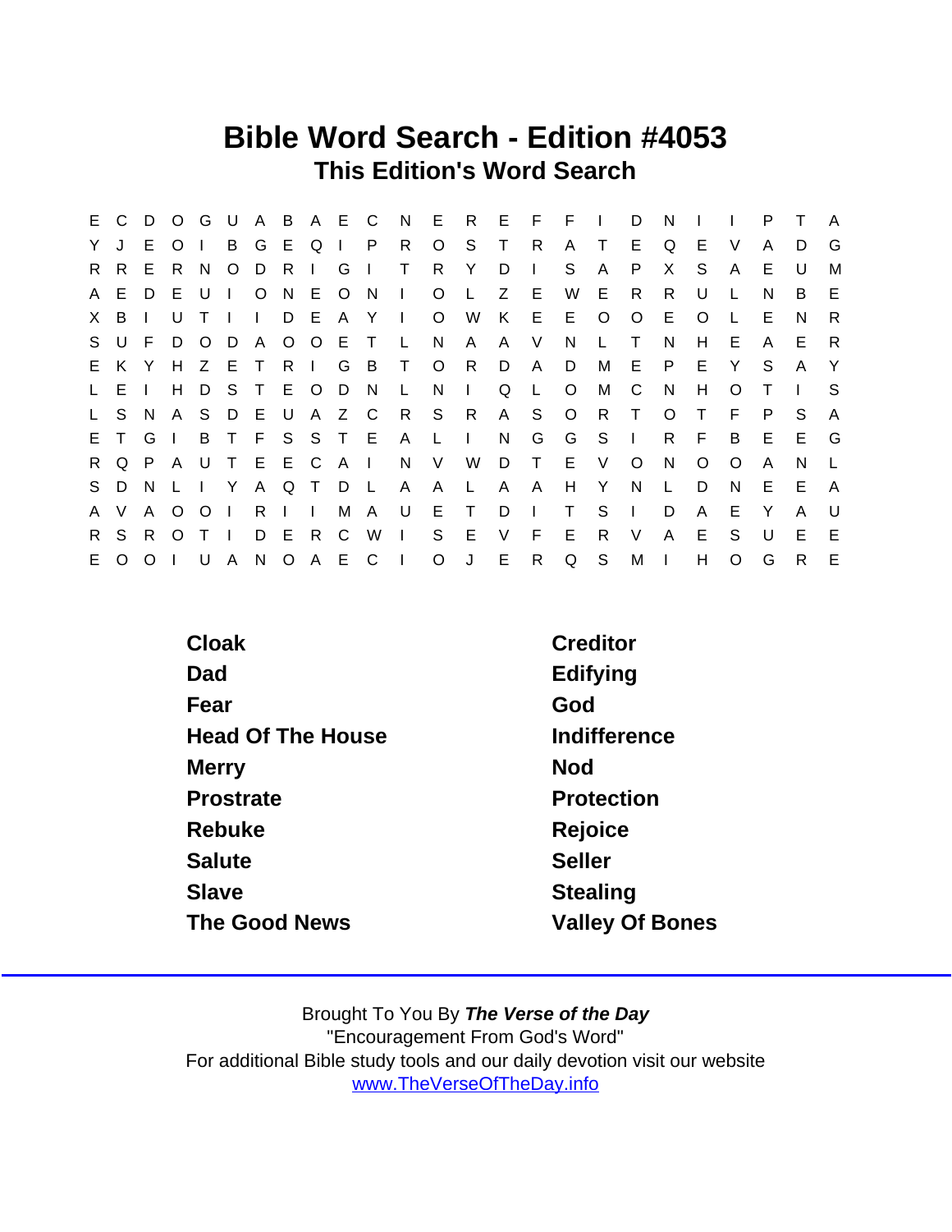# Bible Word Search - Edition #4053 This Edition's Word Search

|              |           |    |                |                |                |              |   |               |                                                      |               |              |                     |              |              |                | E C D O G U A B A E C N E R E F F I D |              |              | N.           |         | $\blacksquare$ | P.           |              | <b>A</b>       |
|--------------|-----------|----|----------------|----------------|----------------|--------------|---|---------------|------------------------------------------------------|---------------|--------------|---------------------|--------------|--------------|----------------|---------------------------------------|--------------|--------------|--------------|---------|----------------|--------------|--------------|----------------|
| YJ           |           | E. | $\overline{O}$ |                |                |              |   |               |                                                      | B G E Q I P R |              | $\circ$             | S            | $\top$       | R              | A T                                   |              | E            | Q            | E.      | - V            | A            | D            | G              |
|              | R R       | E. | R              | N.             |                | $O$ $D$      | R |               | $\begin{array}{cc} \mid & \text{G} \mid \end{array}$ |               | $\top$       | R                   | Y            | D            | $\Box$         | S.                                    | $\mathsf{A}$ | P            | X            | S.      | $\mathsf{A}$   | E            | U            | M              |
|              | A E       | D  | E U            |                | $\sim 1$ .     |              |   |               |                                                      | ONEONI        |              |                     |              |              |                | O L Z E W E                           |              | R            | R.           | U       |                | N            | B            | E              |
|              | X B I     |    | U              | T <sub>1</sub> |                | $\mathbf{L}$ |   |               |                                                      |               |              | D E A Y I O W       |              |              |                | K E E O                               |              | $\circ$      | E.           | $\circ$ | L.             | E            | N            | R.             |
|              | S U F D O |    |                |                |                |              |   |               | D A O O E T                                          |               |              | L N A               |              | A V          |                | N.                                    | $\perp$      | $\top$       | N            | H.      | E.             | $\mathsf{A}$ | E.           | R              |
|              | E K Y     |    |                |                | H Z E T        |              |   |               |                                                      | R I G B T     |              | O R                 |              | D            | A              | $\Box$                                | M            | E P          |              | E Y     |                | S.           | $\mathsf{A}$ | Y              |
|              | L E       |    |                |                |                |              |   |               | H D S T E O D N                                      |               | $\mathsf{L}$ | $N$                 |              | Q            | L              | $\circ$                               | M            | $\mathbf{C}$ | N            | H       | $\Omega$       |              |              | S.             |
|              | L S N     |    |                |                | A S D E U      |              |   |               |                                                      |               |              | A Z C R S R         |              |              |                | A S O R T                             |              |              | $\circ$      | $\top$  | F.             | P.           | S.           | $\overline{A}$ |
|              | ETGI      |    |                |                |                |              |   |               |                                                      |               |              | B T F S S T E A L I |              | N            |                | G G S                                 |              | $\Box$       |              | $R$ $F$ | B              |              | $E - E$      | $\mathsf{G}$   |
|              |           |    |                |                |                |              |   |               | R Q P A U T E E C A I                                |               |              |                     |              |              |                | N V W D T E V                         |              | $\circ$      | N            | $\circ$ | $\circ$        | A            | N            |                |
|              | S D N     |    |                |                | LIY            |              |   |               | A Q T D L                                            |               | $\mathsf{A}$ | $\mathsf{A}$        | $\mathsf{L}$ | $\mathsf{A}$ | $\overline{A}$ | H                                     | Y            | N            | $\mathsf{L}$ | D       | N              | E            | E.           | A              |
| $\mathsf{A}$ | V         |    | A O            | $\circ$        | $\Box$         |              |   | $R \mid \mid$ |                                                      |               |              | M A U E T           |              | D.           | $\mathbf{I}$   | $\top$                                | S.           | $\sim 1$ .   | D            | A       | E              | Y            | A            | U              |
|              | R S R     |    | $\circ$        | $\top$         | $\blacksquare$ | D            |   | E R           |                                                      | C W           | $\vert$ S    |                     | E            | V            | $F$ E          |                                       | $\mathsf{R}$ | V            | $\mathsf{A}$ | E       | S.             | U            | E            | E              |
|              | E O O I   |    |                |                |                |              |   |               |                                                      |               |              |                     |              |              |                | U A N O A E C I O J E R Q S M I       |              |              |              | H       | $\circ$        | G            | $\mathsf{R}$ | E              |

| Cloak                    | Creditor               |
|--------------------------|------------------------|
| Dad                      | Edifying               |
| Fear                     | God                    |
| <b>Head Of The House</b> | Indifference           |
| Merry                    | <b>Nod</b>             |
| Prostrate                | Protection             |
| Rebuke                   | Rejoice                |
| Salute                   | <b>Seller</b>          |
| <b>Slave</b>             | <b>Stealing</b>        |
| The Good News            | <b>Valley Of Bones</b> |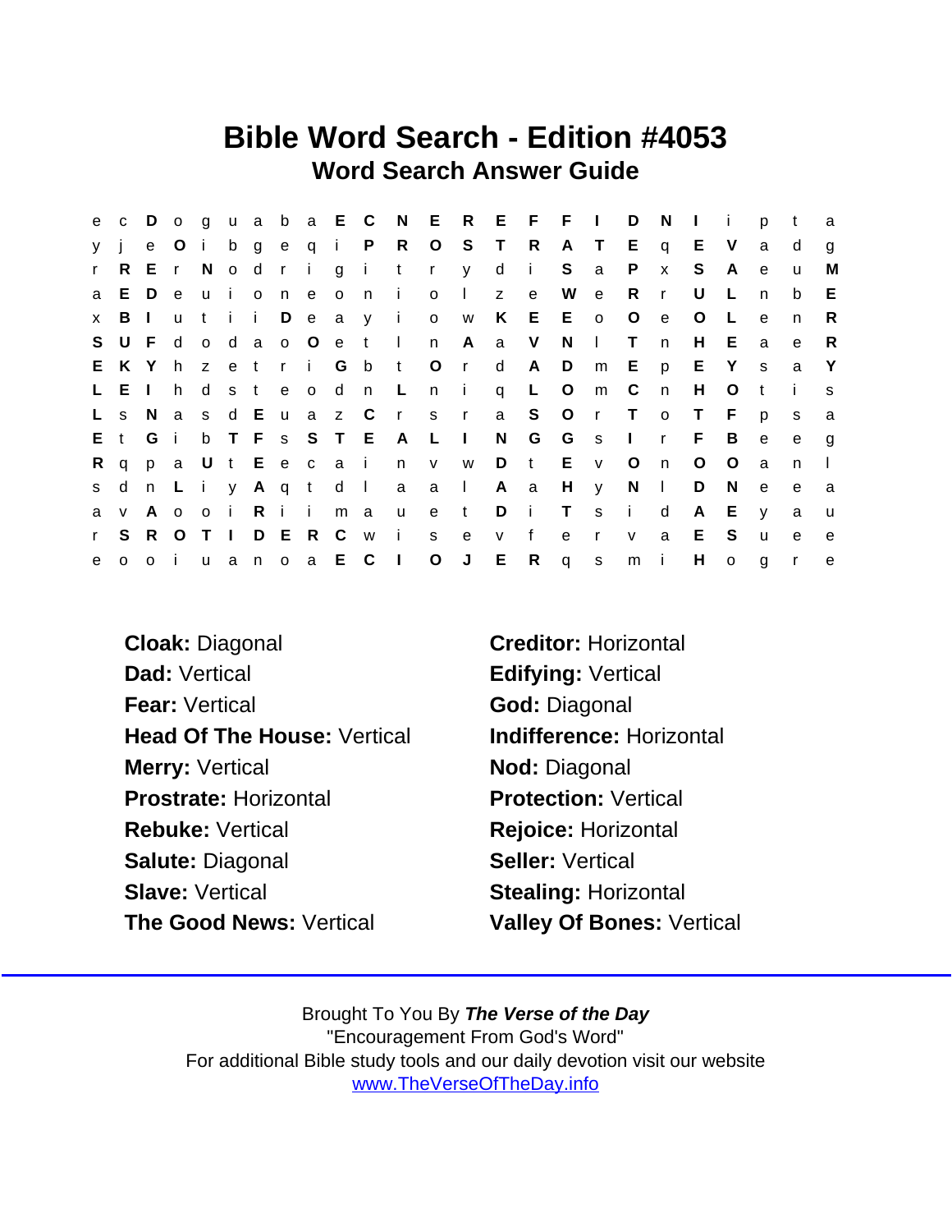# Bible Word Search - Edition #4053 Word Search Answer Guide

|         |         |         |             |  |  |      |               |                      |              |              |      | e c D o g u a b a E C N E R E F F I D |              |                | N            | $\mathbf{I}$ is |         | p            | $-t$         | a            |
|---------|---------|---------|-------------|--|--|------|---------------|----------------------|--------------|--------------|------|---------------------------------------|--------------|----------------|--------------|-----------------|---------|--------------|--------------|--------------|
| y j     |         |         | e O i       |  |  |      |               |                      |              |              |      | b g e q i P R O S T R A T E           |              |                | $\mathsf{q}$ | E V             |         | a            | d            | $\mathbf{q}$ |
|         |         | r R E r |             |  |  |      |               |                      |              |              |      | Nodrigitry di Sa                      |              | $\mathsf{P}$   | $\mathsf{x}$ | S.              | - A     | $\mathbf{e}$ | u            | M            |
|         | a E D   |         | e –         |  |  |      |               | uioneoni             | $0 \quad 1$  | $\mathsf{Z}$ | $-e$ | W e                                   |              | - R            | $\mathsf{r}$ | U               | $\perp$ | n            | b            | E            |
|         | $x$ B I |         |             |  |  |      |               | utii Deay i ow       |              |              |      | K E E o                               |              | $\overline{O}$ | $\mathbf{e}$ | $\circ$         | L.      | $\mathbf{e}$ | n            | $\mathsf{R}$ |
|         |         | SUFd    |             |  |  |      |               | o dao O e t In A a V |              |              |      | $N \mid$                              |              | $\top$         | n            | H               | E.      | a            | e            | R.           |
|         | E K Y   |         | h           |  |  |      |               |                      |              |              |      | zetri Gbt Ord AD m E                  |              |                | p            | E Y             |         | <sub>S</sub> | a            | $\mathsf{Y}$ |
|         | L E     |         |             |  |  |      |               |                      |              |              |      | h d s t e o d n L n i q L O m         |              | $\mathbb{C}$   | n            | H               | $\circ$ | $-t$         | $\mathbf{i}$ | S.           |
|         | L s N   |         | a           |  |  |      | s d E u a z C |                      |              |              |      | rs ra SOrT                            |              |                | $\mathsf{o}$ | $\top$          | F.      | p            | <sub>S</sub> | a            |
|         |         | Et Gi   |             |  |  |      |               | b T F s S T E A L I  |              |              |      | N G G s I                             |              |                | r            | - F             | B       | e            | e            | $\mathbf{q}$ |
| $R \ q$ |         |         |             |  |  |      |               |                      |              |              |      | pa Ut Eecain v w D t E v              |              | $\overline{O}$ | n            | $\circ$         | $\circ$ | a            | n            |              |
| s d     |         |         |             |  |  |      |               | n Liy Aqt d I a a I  |              | A a          |      |                                       | $H \quad y$  | $N$            |              | D               | N.      | e            | e            | a            |
| a       | V       |         |             |  |  |      |               | A o o i Riimau       | e t          |              |      | DiTsi                                 |              |                | d            | A               | E.      | $\mathsf{V}$ | a            | <b>u</b>     |
| r       | S.      |         | R O T I     |  |  | DERC |               | w i s                | $\mathbf{e}$ | V            | f    | e                                     | $\mathbf{r}$ | V              | a            | E S             |         | $\mathsf{u}$ | $\mathbf{e}$ | e            |
| e       |         |         | $0$ $0$ $i$ |  |  |      |               | u a n o a E C I O J  |              |              |      | ER q s                                |              | m i            |              | H.              | $\circ$ | g            | $\mathsf{r}$ | $\mathbf{e}$ |

Cloak: Diagonal Creditor: Horizontal Dad: Vertical **Edifying: Vertical** Fear: Vertical God: Diagonal Head Of The House: Vertical Indifference: Horizontal Merry: Vertical Nod: Diagonal Prostrate: Horizontal Protection: Vertical Rebuke: Vertical Rejoice: Horizontal Salute: Diagonal Seller: Vertical Slave: Vertical Slave: Vertical Stealing: Horizontal The Good News: Vertical Valley Of Bones: Vertical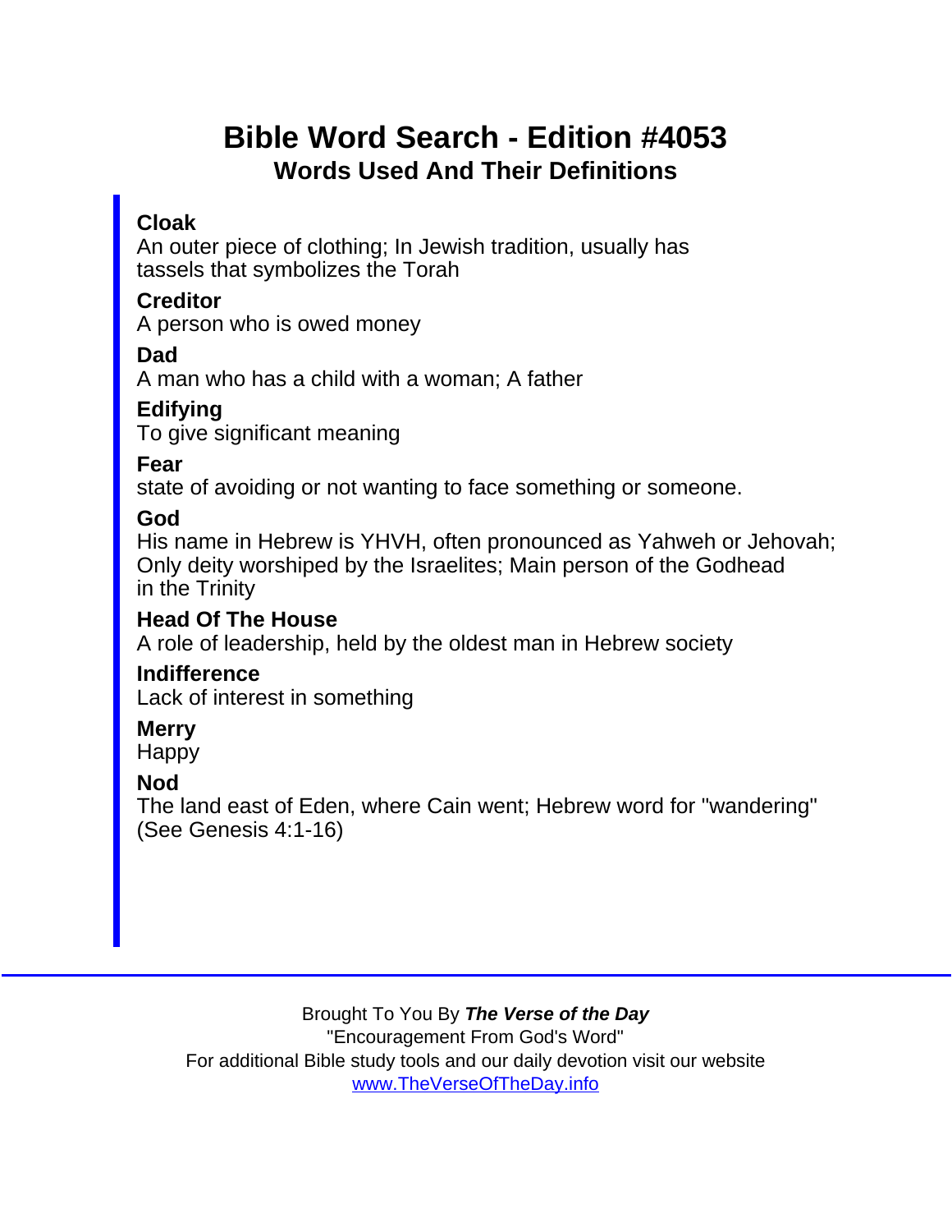# Bible Word Search - Edition #4053 Words Used And Their Definitions

## Cloak

An outer piece of clothing; In Jewish tradition, usually has tassels that symbolizes the Torah

#### **Creditor**

A person who is owed money

Dad

A man who has a child with a woman; A father

**Edifying** 

To give significant meaning

Fear

state of avoiding or not wanting to face something or someone.

God

His name in Hebrew is YHVH, often pronounced as Yahweh or Jehovah; Only deity worshiped by the Israelites; Main person of the Godhead in the Trinity

Head Of The House

A role of leadership, held by the oldest man in Hebrew society

**Indifference** 

Lack of interest in something

**Merry** Happy

Nod

The land east of Eden, where Cain went; Hebrew word for "wandering" (See Genesis 4:1-16)